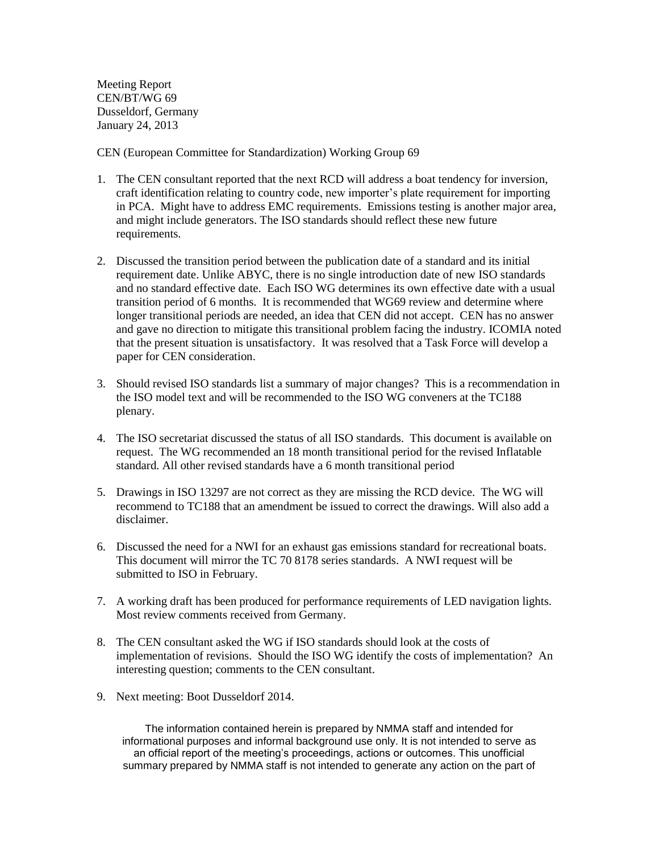Meeting Report CEN/BT/WG 69 Dusseldorf, Germany January 24, 2013

CEN (European Committee for Standardization) Working Group 69

- 1. The CEN consultant reported that the next RCD will address a boat tendency for inversion, craft identification relating to country code, new importer's plate requirement for importing in PCA. Might have to address EMC requirements. Emissions testing is another major area, and might include generators. The ISO standards should reflect these new future requirements.
- 2. Discussed the transition period between the publication date of a standard and its initial requirement date. Unlike ABYC, there is no single introduction date of new ISO standards and no standard effective date. Each ISO WG determines its own effective date with a usual transition period of 6 months. It is recommended that WG69 review and determine where longer transitional periods are needed, an idea that CEN did not accept. CEN has no answer and gave no direction to mitigate this transitional problem facing the industry. ICOMIA noted that the present situation is unsatisfactory. It was resolved that a Task Force will develop a paper for CEN consideration.
- 3. Should revised ISO standards list a summary of major changes? This is a recommendation in the ISO model text and will be recommended to the ISO WG conveners at the TC188 plenary.
- 4. The ISO secretariat discussed the status of all ISO standards. This document is available on request. The WG recommended an 18 month transitional period for the revised Inflatable standard. All other revised standards have a 6 month transitional period
- 5. Drawings in ISO 13297 are not correct as they are missing the RCD device. The WG will recommend to TC188 that an amendment be issued to correct the drawings. Will also add a disclaimer.
- 6. Discussed the need for a NWI for an exhaust gas emissions standard for recreational boats. This document will mirror the TC 70 8178 series standards. A NWI request will be submitted to ISO in February.
- 7. A working draft has been produced for performance requirements of LED navigation lights. Most review comments received from Germany.
- 8. The CEN consultant asked the WG if ISO standards should look at the costs of implementation of revisions. Should the ISO WG identify the costs of implementation? An interesting question; comments to the CEN consultant.
- 9. Next meeting: Boot Dusseldorf 2014.

The information contained herein is prepared by NMMA staff and intended for informational purposes and informal background use only. It is not intended to serve as an official report of the meeting's proceedings, actions or outcomes. This unofficial summary prepared by NMMA staff is not intended to generate any action on the part of